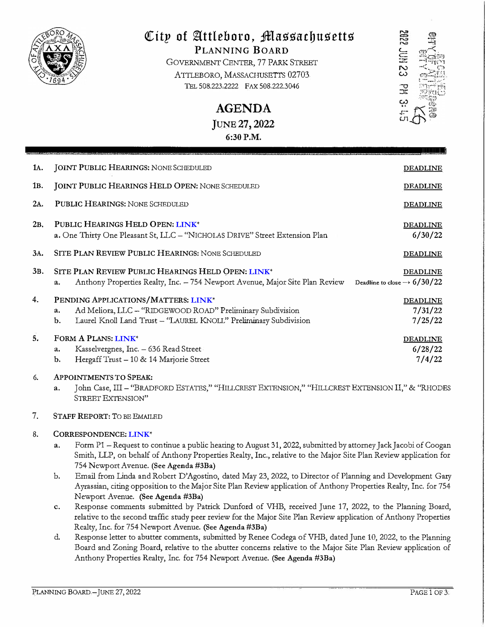

# City of Attleboro, Massachusetts

PLANNING BOARD GOVERNMENT CENTER, 77 PARK STREET ATTLEBORO, MASSACHUSETTS 02703 TEL 508.223.2222 FAX 508.222.3046

> **AGENDA** JUNE 27, 2022 6:30 P.M.

| 1A. | <b>JOINT PUBLIC HEARINGS: NONE SCHEDULED</b>                                                                                                                                      | <b>DEADLINE</b>                                            |
|-----|-----------------------------------------------------------------------------------------------------------------------------------------------------------------------------------|------------------------------------------------------------|
| 1в. | <b>JOINT PUBLIC HEARINGS HELD OPEN: NONE SCHEDULED</b>                                                                                                                            | <b>DEADLINE</b>                                            |
| 2A. | <b>PUBLIC HEARINGS: NONE SCHEDULED</b>                                                                                                                                            | <b>DEADLINE</b>                                            |
| 2в. | PUBLIC HEARINGS HELD OPEN: LINK*<br>a. One Thirty One Pleasant St, LLC - "NICHOLAS DRIVE" Street Extension Plan                                                                   | <b>DEADLINE</b><br>6/30/22                                 |
| 3A. | SITE PLAN REVIEW PUBLIC HEARINGS: NONE SCHEDULED                                                                                                                                  | <b>DEADLINE</b>                                            |
| 3в. | SITE PLAN REVIEW PUBLIC HEARINGS HELD OPEN: LINK <sup>+</sup><br>Anthony Properties Realty, Inc. - 754 Newport Avenue, Major Site Plan Review<br>a.                               | <b>DEADLINE</b><br>Deadline to close $\rightarrow$ 6/30/22 |
| 4.  | PENDING APPLICATIONS/MATTERS: LINK*<br>Ad Meliora, LLC - "RIDGEWOOD ROAD" Preliminary Subdivision<br>a.<br>Laurel Knoll Land Trust - 'LAUREL KNOLL" Preliminary Subdivision<br>b. | <b>DEADLINE</b><br>7/31/22<br>7/25/22                      |
| 5.  | FORM A PLANS: LINK*<br>Kasselvergnes, Inc. - 636 Read Street<br>a.<br>Hergaff Trust - 10 & 14 Marjorie Street<br>b.                                                               | <b>DEADLINE</b><br>6/28/22<br>7/4/22                       |
| 6.  | <b>APPOINTMENTS TO SPEAK:</b><br>OF Tobe III . "Beather Forative" "HILLORET FYTENSION" "HILLORET FYTENSION II " & "BHODI                                                          |                                                            |

∵hillickest extension," "Hillickest extension II," & "RHODES a. John Case, III – "BRADFORD ESTATES," STREET EXTENSION"

#### 7. **STAFF REPORT: TO BE EMAILED**

#### 8. CORRESPONDENCE: LINK\*

- a. Form P1 - Request to continue a public hearing to August 31, 2022, submitted by attorney Jack Jacobi of Coogan Smith, LLP, on behalf of Anthony Properties Realty, Inc., relative to the Major Site Plan Review application for 754 Newport Avenue. (See Agenda #3Ba)
- Email from Linda and Robert D'Agostino, dated May 23, 2022, to Director of Planning and Development Gary  $<sub>b</sub>$ .</sub> Ayrassian, citing opposition to the Major Site Plan Review application of Anthony Properties Realty, Inc. for 754 Newport Avenue. (See Agenda #3Ba)
- Response comments submitted by Patrick Dunford of VHB, received June 17, 2022, to the Planning Board, c. relative to the second traffic study peer review for the Major Site Plan Review application of Anthony Properties Realty, Inc. for 754 Newport Avenue. (See Agenda #3Ba)
- $d_{\cdot}$ Response letter to abutter comments, submitted by Renee Codega of VHB, dated June 10, 2022, to the Planning Board and Zoning Board, relative to the abutter concerns relative to the Major Site Plan Review application of Anthony Properties Realty, Inc. for 754 Newport Avenue. (See Agenda #3Ba)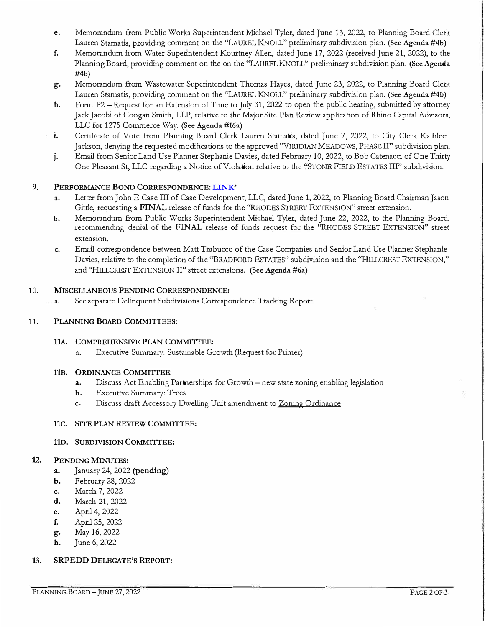- e. Memorandum from Public Works Superintendent Michael Tyler, dated June 13, 2022, to Planning Board Clerk Lauren Stamatis, providing comment on the "LAUREL KNOLL" preliminary subdivision plan. (See Agenda #4b)
- f. Memorandum from Water Superintendent Kourtney Allen, dated June 17, 2022 (received June 21, 2022), to the Planning Board, providing comment on the on the "LAUREL KNOLL" preliminary subdivision plan. (See Agenda #4b)
- g. Memorandum from Wastewater Superintendent Thomas Hayes, dated June 23, 2022, to Planning Board Clerk Lauren Stamatis, providing comment on the ''LAUREL KNOLL" preliminary subdivision plan. (See Agenda #4b)
- h. Form P2 -Request for an Extension of Time to July 31, 2022 to open the public hearing, submitted by attorney Jack Jacobi of Coogan Smith, LLP, relative to the Major Site Plan Review application of Rhino Capital Advisors, LLC for 1275 Commerce Way. (See Agenda #16a)
- i. Certificate of Vote from Planning Board Clerk Lauren Stamatis, dated June 7, 2022, to City Clerk Kathleen Jackson, denying the requested modifications to the approved "VIRIDIAN MEADOWS, PHASE II" subdivision plan.
- j . Email from Senior Land Use Planner Stephanie Davies, dated February 10, 2022, to Bob Catenacci of One Thirty One Pleasant St, LLC regarding a Notice of Violation relative to the "STONE FIELD ESTATES III" subdivision.

#### 9.PERFORMANCE BOND CORRESPONDENCE: **[LINK](https://drive.google.com/drive/folders/1WBEr8oT0F3PJJPncTyxJr-fhQER2Nq9O?usp=sharing)**\*

- a. Letter from John E Case III of Case Development, LLC, dated June 1, 2022, to Planning Board Chairman Jason Gittle, requesting a FINAL release of funds for the ''RHODES STREET EXTENSION" stteet extension.
- b. Memorandum from Public Works Superintendent Michael Tyler, dated June 22, 2022, to the Planning Board, recommending denial of the FINAL release of funds reques<sup>t</sup> for the "RHODES STREET EXTENSION" street **extension.**
- c. Email correspondence between Matt Trabucco of the Case Companies and Senior Land Use Planner Stephanie Davies, relative to the completion of the ''BRADFORD ESTATES" subdivision and the "HILLCREST EXTENSION," and "HILLCREST EXTENSION II" street extensions. (See Agenda #6a)

# 10. MISCELLANEOUS PENDING CORRESPONDENCE:

a. See separate Delinquent Subdivisions Correspondence Tracking Report

### 11. PLANNING BOARD COMMITTEES:

### 11A. COMPREHENSIVE PLAN COMMITTEE:

a. Executive Summary: Sustainable Growth (Request for Primer)

### 11B. ORDINANCE COMMITTEE:

- a. Discuss Act Enabling Partnerships for Growth new state zoning enabling legislation
- **b.Executive Summary: Trees**
- c. Discuss draft Accessory Dwelling Unit amendment to Zoning Ordinance

### 11C. SITE PLAN REVIEW COMMITTEE:

### 110. SUBDIVISION COMMITTEE:

#### 12. PENDING MINUTES:

- a. January 24, 2022 (pending)
- b. February 28, 2022
- c. March 7, 2022
- d. March 21, 2022
- e. April 4, 2022
- f. April 25, 2022
- g. May 16, 2022
- h. June 6, 2022

#### 13. SRPEDD DELEGATE'S REPORT: